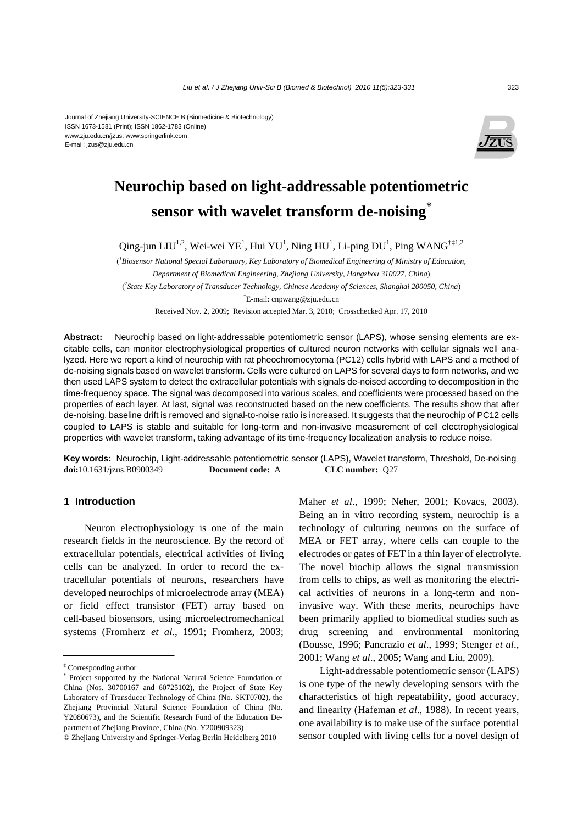#### Journal of Zhejiang University-SCIENCE B (Biomedicine & Biotechnology) ISSN 1673-1581 (Print); ISSN 1862-1783 (Online) www.zju.edu.cn/jzus; www.springerlink.com E-mail: jzus@zju.edu.cn



# **Neurochip based on light-addressable potentiometric sensor with wavelet transform de-noising\***

Qing-jun LIU<sup>1,2</sup>, Wei-wei YE<sup>1</sup>, Hui YU<sup>1</sup>, Ning HU<sup>1</sup>, Li-ping DU<sup>1</sup>, Ping WANG<sup>†‡1,2</sup>

( *1 Biosensor National Special Laboratory, Key Laboratory of Biomedical Engineering of Ministry of Education, Department of Biomedical Engineering, Zhejiang University, Hangzhou 310027, China*) ( *2 State Key Laboratory of Transducer Technology, Chinese Academy of Sciences, Shanghai 200050, China*) † E-mail: cnpwang@zju.edu.cn

Received Nov. 2, 2009; Revision accepted Mar. 3, 2010; Crosschecked Apr. 17, 2010

**Abstract:** Neurochip based on light-addressable potentiometric sensor (LAPS), whose sensing elements are excitable cells, can monitor electrophysiological properties of cultured neuron networks with cellular signals well analyzed. Here we report a kind of neurochip with rat pheochromocytoma (PC12) cells hybrid with LAPS and a method of de-noising signals based on wavelet transform. Cells were cultured on LAPS for several days to form networks, and we then used LAPS system to detect the extracellular potentials with signals de-noised according to decomposition in the time-frequency space. The signal was decomposed into various scales, and coefficients were processed based on the properties of each layer. At last, signal was reconstructed based on the new coefficients. The results show that after de-noising, baseline drift is removed and signal-to-noise ratio is increased. It suggests that the neurochip of PC12 cells coupled to LAPS is stable and suitable for long-term and non-invasive measurement of cell electrophysiological properties with wavelet transform, taking advantage of its time-frequency localization analysis to reduce noise.

**Key words:** Neurochip, Light-addressable potentiometric sensor (LAPS), Wavelet transform, Threshold, De-noising **doi:**10.1631/jzus.B0900349 **Document code:** A **CLC number:** Q27

# **1 Introduction**

Neuron electrophysiology is one of the main research fields in the neuroscience. By the record of extracellular potentials, electrical activities of living cells can be analyzed. In order to record the extracellular potentials of neurons, researchers have developed neurochips of microelectrode array (MEA) or field effect transistor (FET) array based on cell-based biosensors, using microelectromechanical systems (Fromherz *et al*., 1991; Fromherz, 2003; Maher *et al*., 1999; Neher, 2001; Kovacs, 2003). Being an in vitro recording system, neurochip is a technology of culturing neurons on the surface of MEA or FET array, where cells can couple to the electrodes or gates of FET in a thin layer of electrolyte. The novel biochip allows the signal transmission from cells to chips, as well as monitoring the electrical activities of neurons in a long-term and noninvasive way. With these merits, neurochips have been primarily applied to biomedical studies such as drug screening and environmental monitoring (Bousse, 1996; Pancrazio *et al*., 1999; Stenger *et al*., 2001; Wang *et al*., 2005; Wang and Liu, 2009).

Light-addressable potentiometric sensor (LAPS) is one type of the newly developing sensors with the characteristics of high repeatability, good accuracy, and linearity (Hafeman *et al*., 1988). In recent years, one availability is to make use of the surface potential sensor coupled with living cells for a novel design of

<sup>‡</sup> Corresponding author

<sup>\*</sup> Project supported by the National Natural Science Foundation of China (Nos. 30700167 and 60725102), the Project of State Key Laboratory of Transducer Technology of China (No. SKT0702), the Zhejiang Provincial Natural Science Foundation of China (No. Y2080673), and the Scientific Research Fund of the Education Department of Zhejiang Province, China (No. Y200909323)

<sup>©</sup> Zhejiang University and Springer-Verlag Berlin Heidelberg 2010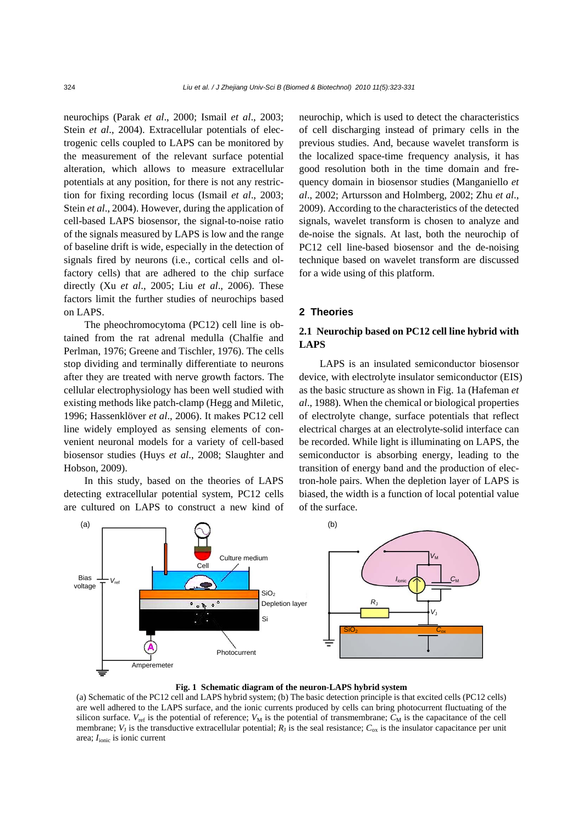neurochips (Parak *et al*., 2000; Ismail *et al*., 2003; Stein *et al*., 2004). Extracellular potentials of electrogenic cells coupled to LAPS can be monitored by the measurement of the relevant surface potential alteration, which allows to measure extracellular potentials at any position, for there is not any restriction for fixing recording locus (Ismail *et al*., 2003; Stein *et al*., 2004). However, during the application of cell-based LAPS biosensor, the signal-to-noise ratio of the signals measured by LAPS is low and the range of baseline drift is wide, especially in the detection of signals fired by neurons (i.e., cortical cells and olfactory cells) that are adhered to the chip surface directly (Xu *et al*., 2005; Liu *et al*., 2006). These factors limit the further studies of neurochips based on LAPS.

The pheochromocytoma (PC12) cell line is obtained from the rat adrenal medulla (Chalfie and Perlman, 1976; Greene and Tischler, 1976). The cells stop dividing and terminally differentiate to neurons after they are treated with nerve growth factors. The cellular electrophysiology has been well studied with existing methods like patch-clamp (Hegg and Miletic, 1996; Hassenklöver *et al*., 2006). It makes PC12 cell line widely employed as sensing elements of convenient neuronal models for a variety of cell-based biosensor studies (Huys *et al*., 2008; Slaughter and Hobson, 2009).

In this study, based on the theories of LAPS detecting extracellular potential system, PC12 cells are cultured on LAPS to construct a new kind of neurochip, which is used to detect the characteristics of cell discharging instead of primary cells in the previous studies. And, because wavelet transform is the localized space-time frequency analysis, it has good resolution both in the time domain and frequency domain in biosensor studies (Manganiello *et al*., 2002; Artursson and Holmberg, 2002; Zhu *et al*., 2009). According to the characteristics of the detected signals, wavelet transform is chosen to analyze and de-noise the signals. At last, both the neurochip of PC12 cell line-based biosensor and the de-noising technique based on wavelet transform are discussed for a wide using of this platform.

## **2 Theories**

## **2.1 Neurochip based on PC12 cell line hybrid with LAPS**

LAPS is an insulated semiconductor biosensor device, with electrolyte insulator semiconductor (EIS) as the basic structure as shown in Fig. 1a (Hafeman *et al*., 1988). When the chemical or biological properties of electrolyte change, surface potentials that reflect electrical charges at an electrolyte-solid interface can be recorded. While light is illuminating on LAPS, the semiconductor is absorbing energy, leading to the transition of energy band and the production of electron-hole pairs. When the depletion layer of LAPS is biased, the width is a function of local potential value of the surface.



## **Fig. 1 Schematic diagram of the neuron-LAPS hybrid system**

(a) Schematic of the PC12 cell and LAPS hybrid system; (b) The basic detection principle is that excited cells (PC12 cells) are well adhered to the LAPS surface, and the ionic currents produced by cells can bring photocurrent fluctuating of the silicon surface.  $V_{\text{ref}}$  is the potential of reference;  $V_M$  is the potential of transmembrane;  $C_M$  is the capacitance of the cell membrane;  $V<sub>J</sub>$  is the transductive extracellular potential;  $R<sub>J</sub>$  is the seal resistance;  $C<sub>ox</sub>$  is the insulator capacitance per unit area; *I*<sub>ionic</sub> is ionic current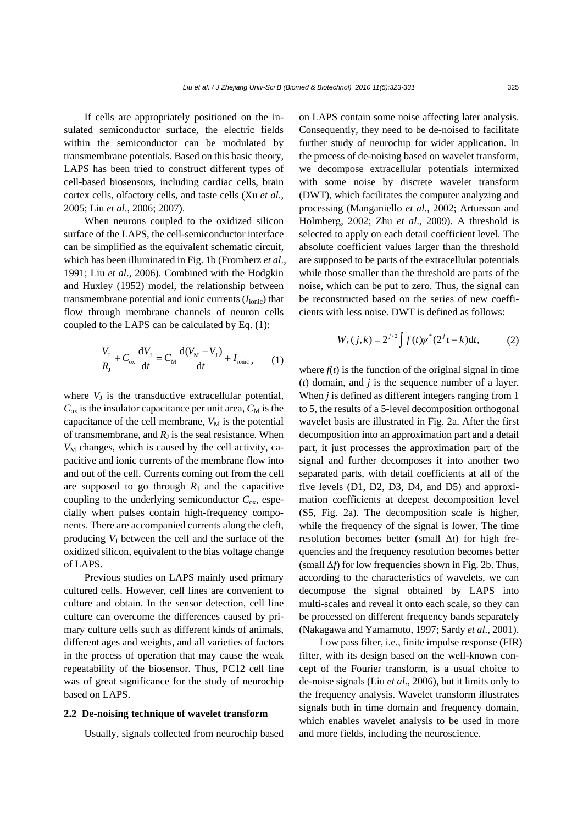If cells are appropriately positioned on the insulated semiconductor surface, the electric fields within the semiconductor can be modulated by transmembrane potentials. Based on this basic theory, LAPS has been tried to construct different types of cell-based biosensors, including cardiac cells, brain cortex cells, olfactory cells, and taste cells (Xu *et al*., 2005; Liu *et al*., 2006; 2007).

When neurons coupled to the oxidized silicon surface of the LAPS, the cell-semiconductor interface can be simplified as the equivalent schematic circuit, which has been illuminated in Fig. 1b (Fromherz *et al*., 1991; Liu *et al*., 2006). Combined with the Hodgkin and Huxley (1952) model, the relationship between transmembrane potential and ionic currents (*I*ionic) that flow through membrane channels of neuron cells coupled to the LAPS can be calculated by Eq. (1):

$$
\frac{V_{\rm J}}{R_{\rm J}} + C_{\rm ox} \frac{\mathrm{d}V_{\rm J}}{\mathrm{d}t} = C_{\rm M} \frac{\mathrm{d}(V_{\rm M} - V_{\rm J})}{\mathrm{d}t} + I_{\rm ionic} \,, \qquad (1)
$$

where  $V_J$  is the transductive extracellular potential,  $C_{\text{ox}}$  is the insulator capacitance per unit area,  $C_{\text{M}}$  is the capacitance of the cell membrane,  $V_M$  is the potential of transmembrane, and  $R_J$  is the seal resistance. When  $V_M$  changes, which is caused by the cell activity, capacitive and ionic currents of the membrane flow into and out of the cell. Currents coming out from the cell are supposed to go through  $R_J$  and the capacitive coupling to the underlying semiconductor  $C_{\text{ox}}$ , especially when pulses contain high-frequency components. There are accompanied currents along the cleft, producing  $V<sub>I</sub>$  between the cell and the surface of the oxidized silicon, equivalent to the bias voltage change of LAPS.

Previous studies on LAPS mainly used primary cultured cells. However, cell lines are convenient to culture and obtain. In the sensor detection, cell line culture can overcome the differences caused by primary culture cells such as different kinds of animals, different ages and weights, and all varieties of factors in the process of operation that may cause the weak repeatability of the biosensor. Thus, PC12 cell line was of great significance for the study of neurochip based on LAPS.

## **2.2 De-noising technique of wavelet transform**

Usually, signals collected from neurochip based

on LAPS contain some noise affecting later analysis. Consequently, they need to be de-noised to facilitate further study of neurochip for wider application. In the process of de-noising based on wavelet transform, we decompose extracellular potentials intermixed with some noise by discrete wavelet transform (DWT), which facilitates the computer analyzing and processing (Manganiello *et al*., 2002; Artursson and Holmberg, 2002; Zhu *et al*., 2009). A threshold is selected to apply on each detail coefficient level. The absolute coefficient values larger than the threshold are supposed to be parts of the extracellular potentials while those smaller than the threshold are parts of the noise, which can be put to zero. Thus, the signal can be reconstructed based on the series of new coefficients with less noise. DWT is defined as follows:

$$
W_f(j,k) = 2^{j/2} \int f(t) \psi^*(2^j t - k) dt,
$$
 (2)

where  $f(t)$  is the function of the original signal in time (*t*) domain, and *j* is the sequence number of a layer. When *j* is defined as different integers ranging from 1 to 5, the results of a 5-level decomposition orthogonal wavelet basis are illustrated in Fig. 2a. After the first decomposition into an approximation part and a detail part, it just processes the approximation part of the signal and further decomposes it into another two separated parts, with detail coefficients at all of the five levels (D1, D2, D3, D4, and D5) and approximation coefficients at deepest decomposition level (S5, Fig. 2a). The decomposition scale is higher, while the frequency of the signal is lower. The time resolution becomes better (small Δ*t*) for high frequencies and the frequency resolution becomes better (small Δ*f*) for low frequencies shown in Fig. 2b. Thus, according to the characteristics of wavelets, we can decompose the signal obtained by LAPS into multi-scales and reveal it onto each scale, so they can be processed on different frequency bands separately (Nakagawa and Yamamoto, 1997; Sardy *et al*., 2001).

Low pass filter, i.e., finite impulse response (FIR) filter, with its design based on the well-known concept of the Fourier transform, is a usual choice to de-noise signals (Liu *et al*., 2006), but it limits only to the frequency analysis. Wavelet transform illustrates signals both in time domain and frequency domain, which enables wavelet analysis to be used in more and more fields, including the neuroscience.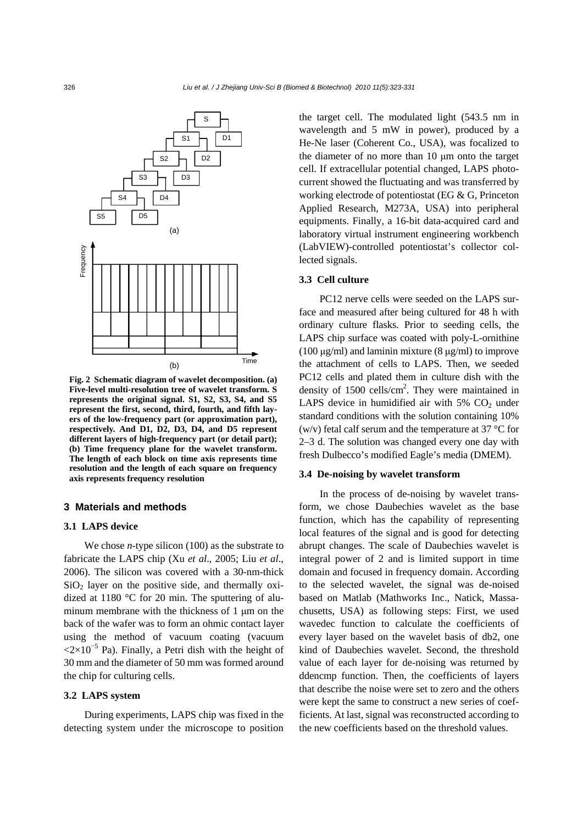

**Fig. 2 Schematic diagram of wavelet decomposition. (a) Five-level multi-resolution tree of wavelet transform. S represents the original signal. S1, S2, S3, S4, and S5 represent the first, second, third, fourth, and fifth layers of the low-frequency part (or approximation part), respectively. And D1, D2, D3, D4, and D5 represent different layers of high-frequency part (or detail part); (b) Time frequency plane for the wavelet transform. The length of each block on time axis represents time resolution and the length of each square on frequency axis represents frequency resolution**

## **3 Materials and methods**

#### **3.1 LAPS device**

We chose *n*-type silicon (100) as the substrate to fabricate the LAPS chip (Xu *et al*., 2005; Liu *et al*., 2006). The silicon was covered with a 30-nm-thick  $SiO<sub>2</sub>$  layer on the positive side, and thermally oxidized at 1180 °C for 20 min. The sputtering of aluminum membrane with the thickness of 1 μm on the back of the wafer was to form an ohmic contact layer using the method of vacuum coating (vacuum  $\langle 2 \times 10^{-5}$  Pa). Finally, a Petri dish with the height of 30 mm and the diameter of 50 mm was formed around the chip for culturing cells.

# **3.2 LAPS system**

During experiments, LAPS chip was fixed in the detecting system under the microscope to position the target cell. The modulated light (543.5 nm in wavelength and 5 mW in power), produced by a He-Ne laser (Coherent Co., USA), was focalized to the diameter of no more than 10 μm onto the target cell. If extracellular potential changed, LAPS photocurrent showed the fluctuating and was transferred by working electrode of potentiostat (EG & G, Princeton Applied Research, M273A, USA) into peripheral equipments. Finally, a 16-bit data-acquired card and laboratory virtual instrument engineering workbench (LabVIEW)-controlled potentiostat's collector collected signals.

#### **3.3 Cell culture**

PC12 nerve cells were seeded on the LAPS surface and measured after being cultured for 48 h with ordinary culture flasks. Prior to seeding cells, the LAPS chip surface was coated with poly-L-ornithine (100 μg/ml) and laminin mixture (8 μg/ml) to improve the attachment of cells to LAPS. Then, we seeded PC12 cells and plated them in culture dish with the density of  $1500$  cells/cm<sup>2</sup>. They were maintained in LAPS device in humidified air with  $5\%$  CO<sub>2</sub> under standard conditions with the solution containing 10% (w/v) fetal calf serum and the temperature at 37  $\mathrm{^{\circ}C}$  for 2–3 d. The solution was changed every one day with fresh Dulbecco's modified Eagle's media (DMEM).

#### **3.4 De-noising by wavelet transform**

In the process of de-noising by wavelet transform, we chose Daubechies wavelet as the base function, which has the capability of representing local features of the signal and is good for detecting abrupt changes. The scale of Daubechies wavelet is integral power of 2 and is limited support in time domain and focused in frequency domain. According to the selected wavelet, the signal was de-noised based on Matlab (Mathworks Inc., Natick, Massachusetts, USA) as following steps: First, we used wavedec function to calculate the coefficients of every layer based on the wavelet basis of db2, one kind of Daubechies wavelet. Second, the threshold value of each layer for de-noising was returned by ddencmp function. Then, the coefficients of layers that describe the noise were set to zero and the others were kept the same to construct a new series of coefficients. At last, signal was reconstructed according to the new coefficients based on the threshold values.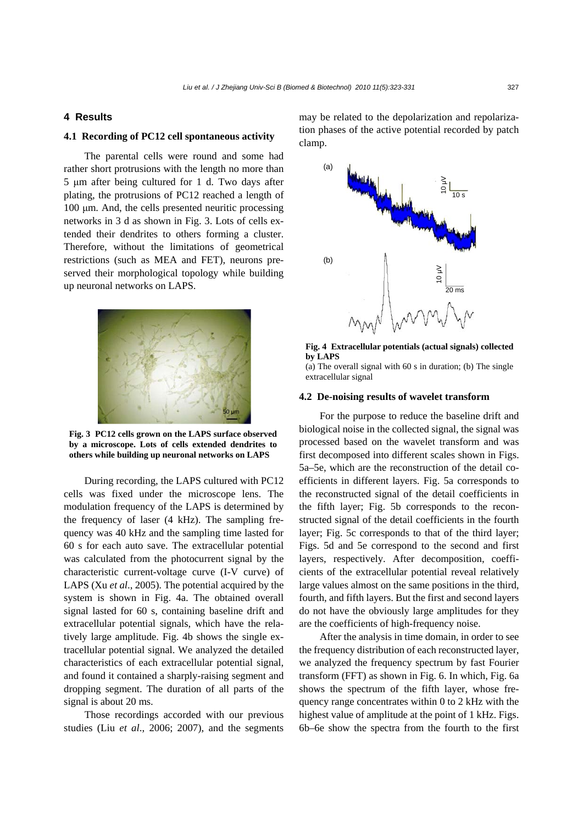## **4 Results**

## **4.1 Recording of PC12 cell spontaneous activity**

The parental cells were round and some had rather short protrusions with the length no more than 5 μm after being cultured for 1 d. Two days after plating, the protrusions of PC12 reached a length of 100 μm. And, the cells presented neuritic processing networks in 3 d as shown in Fig. 3. Lots of cells extended their dendrites to others forming a cluster. Therefore, without the limitations of geometrical restrictions (such as MEA and FET), neurons preserved their morphological topology while building up neuronal networks on LAPS.



**Fig. 3 PC12 cells grown on the LAPS surface observed by a microscope. Lots of cells extended dendrites to others while building up neuronal networks on LAPS**

During recording, the LAPS cultured with PC12 cells was fixed under the microscope lens. The modulation frequency of the LAPS is determined by the frequency of laser (4 kHz). The sampling frequency was 40 kHz and the sampling time lasted for 60 s for each auto save. The extracellular potential was calculated from the photocurrent signal by the characteristic current-voltage curve (I-V curve) of LAPS (Xu *et al*., 2005). The potential acquired by the system is shown in Fig. 4a. The obtained overall signal lasted for 60 s, containing baseline drift and extracellular potential signals, which have the relatively large amplitude. Fig. 4b shows the single extracellular potential signal. We analyzed the detailed characteristics of each extracellular potential signal, and found it contained a sharply-raising segment and dropping segment. The duration of all parts of the signal is about 20 ms.

Those recordings accorded with our previous studies (Liu *et al*., 2006; 2007), and the segments may be related to the depolarization and repolarization phases of the active potential recorded by patch clamp.



**Fig. 4 Extracellular potentials (actual signals) collected by LAPS** 

(a) The overall signal with 60 s in duration; (b) The single extracellular signal

## **4.2 De-noising results of wavelet transform**

For the purpose to reduce the baseline drift and biological noise in the collected signal, the signal was processed based on the wavelet transform and was first decomposed into different scales shown in Figs. 5a–5e, which are the reconstruction of the detail coefficients in different layers. Fig. 5a corresponds to the reconstructed signal of the detail coefficients in the fifth layer; Fig. 5b corresponds to the reconstructed signal of the detail coefficients in the fourth layer; Fig. 5c corresponds to that of the third layer; Figs. 5d and 5e correspond to the second and first layers, respectively. After decomposition, coefficients of the extracellular potential reveal relatively large values almost on the same positions in the third, fourth, and fifth layers. But the first and second layers do not have the obviously large amplitudes for they are the coefficients of high-frequency noise.

After the analysis in time domain, in order to see the frequency distribution of each reconstructed layer, we analyzed the frequency spectrum by fast Fourier transform (FFT) as shown in Fig. 6. In which, Fig. 6a shows the spectrum of the fifth layer, whose frequency range concentrates within 0 to 2 kHz with the highest value of amplitude at the point of 1 kHz. Figs. 6b–6e show the spectra from the fourth to the first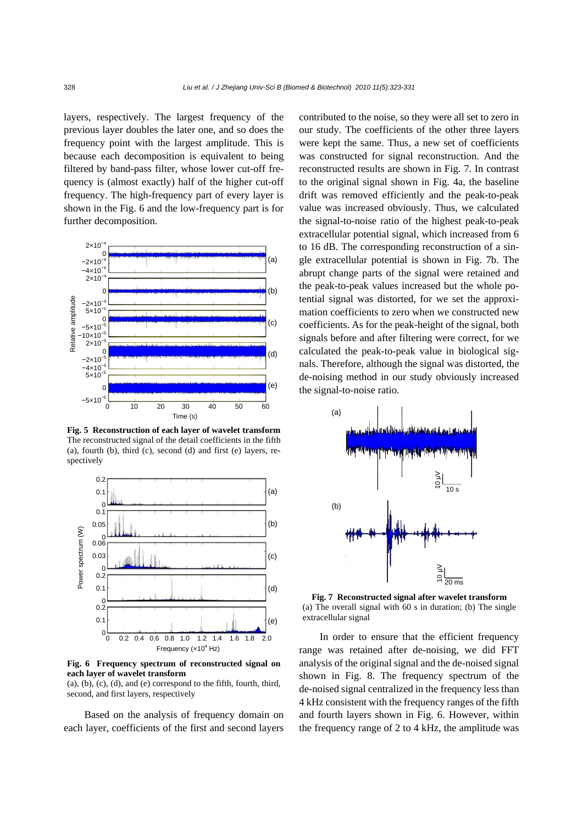layers, respectively. The largest frequency of the previous layer doubles the later one, and so does the frequency point with the largest amplitude. This is because each decomposition is equivalent to being filtered by band-pass filter, whose lower cut-off frequency is (almost exactly) half of the higher cut-off frequency. The high-frequency part of every layer is shown in the Fig. 6 and the low-frequency part is for further decomposition.



**Fig. 5 Reconstruction of each layer of wavelet transform** The reconstructed signal of the detail coefficients in the fifth (a), fourth (b), third (c), second (d) and first (e) layers, respectively



**Fig. 6 Frequency spectrum of reconstructed signal on each layer of wavelet transform** 

 $(a)$ ,  $(b)$ ,  $(c)$ ,  $(d)$ , and  $(e)$  correspond to the fifth, fourth, third, second, and first layers, respectively

Based on the analysis of frequency domain on each layer, coefficients of the first and second layers contributed to the noise, so they were all set to zero in our study. The coefficients of the other three layers were kept the same. Thus, a new set of coefficients was constructed for signal reconstruction. And the reconstructed results are shown in Fig. 7. In contrast to the original signal shown in Fig. 4a, the baseline drift was removed efficiently and the peak-to-peak value was increased obviously. Thus, we calculated the signal-to-noise ratio of the highest peak-to-peak extracellular potential signal, which increased from 6 to 16 dB. The corresponding reconstruction of a single extracellular potential is shown in Fig. 7b. The abrupt change parts of the signal were retained and the peak-to-peak values increased but the whole potential signal was distorted, for we set the approximation coefficients to zero when we constructed new coefficients. As for the peak-height of the signal, both signals before and after filtering were correct, for we calculated the peak-to-peak value in biological signals. Therefore, although the signal was distorted, the de-noising method in our study obviously increased the signal-to-noise ratio.



**Fig. 7 Reconstructed signal after wavelet transform**  (a) The overall signal with 60 s in duration; (b) The single extracellular signal

In order to ensure that the efficient frequency range was retained after de-noising, we did FFT analysis of the original signal and the de-noised signal shown in Fig. 8. The frequency spectrum of the de-noised signal centralized in the frequency less than 4 kHz consistent with the frequency ranges of the fifth and fourth layers shown in Fig. 6. However, within the frequency range of 2 to 4 kHz, the amplitude was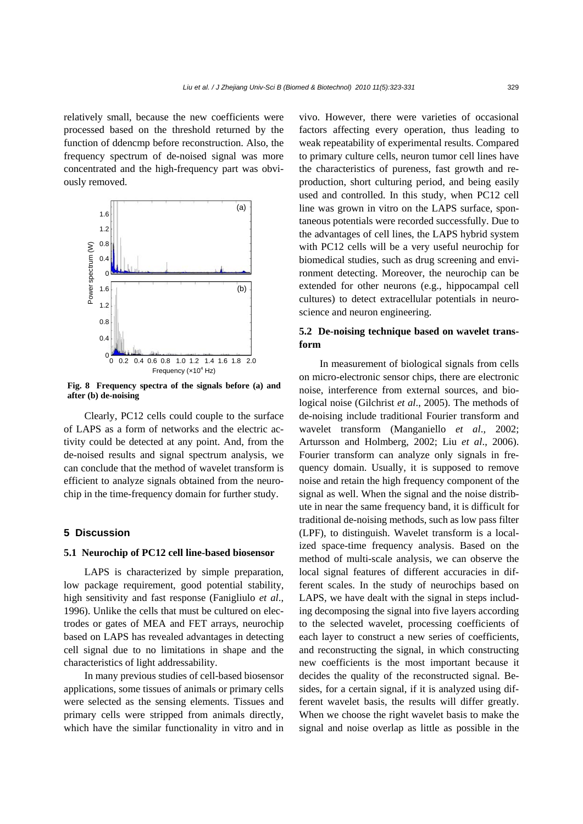relatively small, because the new coefficients were processed based on the threshold returned by the function of ddencmp before reconstruction. Also, the frequency spectrum of de-noised signal was more concentrated and the high-frequency part was obviously removed.



**Fig. 8 Frequency spectra of the signals before (a) and after (b) de-noising**

Clearly, PC12 cells could couple to the surface of LAPS as a form of networks and the electric activity could be detected at any point. And, from the de-noised results and signal spectrum analysis, we can conclude that the method of wavelet transform is efficient to analyze signals obtained from the neurochip in the time-frequency domain for further study.

## **5 Discussion**

## **5.1 Neurochip of PC12 cell line-based biosensor**

LAPS is characterized by simple preparation, low package requirement, good potential stability, high sensitivity and fast response (Fanigliulo *et al*., 1996). Unlike the cells that must be cultured on electrodes or gates of MEA and FET arrays, neurochip based on LAPS has revealed advantages in detecting cell signal due to no limitations in shape and the characteristics of light addressability.

In many previous studies of cell-based biosensor applications, some tissues of animals or primary cells were selected as the sensing elements. Tissues and primary cells were stripped from animals directly, which have the similar functionality in vitro and in

vivo. However, there were varieties of occasional factors affecting every operation, thus leading to weak repeatability of experimental results. Compared to primary culture cells, neuron tumor cell lines have the characteristics of pureness, fast growth and reproduction, short culturing period, and being easily used and controlled. In this study, when PC12 cell line was grown in vitro on the LAPS surface, spontaneous potentials were recorded successfully. Due to the advantages of cell lines, the LAPS hybrid system with PC12 cells will be a very useful neurochip for biomedical studies, such as drug screening and environment detecting. Moreover, the neurochip can be extended for other neurons (e.g., hippocampal cell cultures) to detect extracellular potentials in neuroscience and neuron engineering.

## **5.2 De-noising technique based on wavelet transform**

In measurement of biological signals from cells on micro-electronic sensor chips, there are electronic noise, interference from external sources, and biological noise (Gilchrist *et al*., 2005). The methods of de-noising include traditional Fourier transform and wavelet transform (Manganiello *et al*., 2002; Artursson and Holmberg, 2002; Liu *et al*., 2006). Fourier transform can analyze only signals in frequency domain. Usually, it is supposed to remove noise and retain the high frequency component of the signal as well. When the signal and the noise distribute in near the same frequency band, it is difficult for traditional de-noising methods, such as low pass filter (LPF), to distinguish. Wavelet transform is a localized space-time frequency analysis. Based on the method of multi-scale analysis, we can observe the local signal features of different accuracies in different scales. In the study of neurochips based on LAPS, we have dealt with the signal in steps including decomposing the signal into five layers according to the selected wavelet, processing coefficients of each layer to construct a new series of coefficients, and reconstructing the signal, in which constructing new coefficients is the most important because it decides the quality of the reconstructed signal. Besides, for a certain signal, if it is analyzed using different wavelet basis, the results will differ greatly. When we choose the right wavelet basis to make the signal and noise overlap as little as possible in the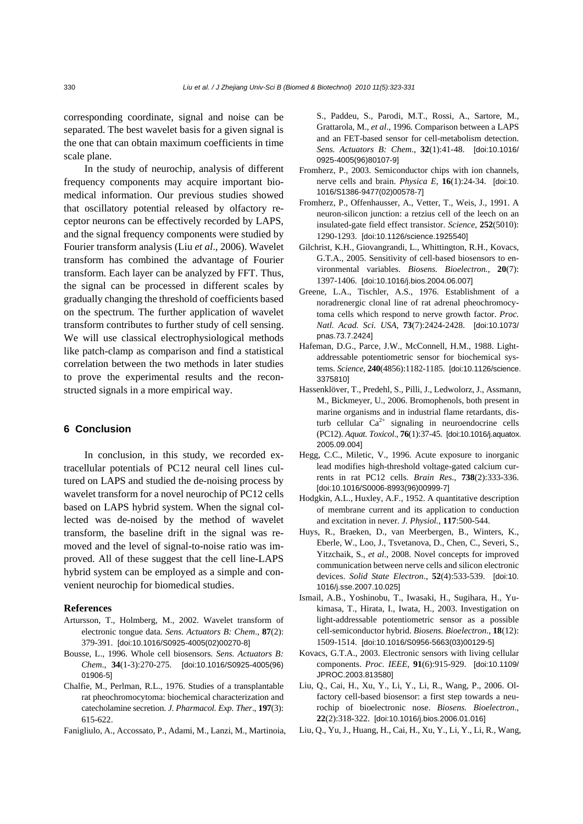corresponding coordinate, signal and noise can be separated. The best wavelet basis for a given signal is the one that can obtain maximum coefficients in time scale plane.

In the study of neurochip, analysis of different frequency components may acquire important biomedical information. Our previous studies showed that oscillatory potential released by olfactory receptor neurons can be effectively recorded by LAPS, and the signal frequency components were studied by Fourier transform analysis (Liu *et al*., 2006). Wavelet transform has combined the advantage of Fourier transform. Each layer can be analyzed by FFT. Thus, the signal can be processed in different scales by gradually changing the threshold of coefficients based on the spectrum. The further application of wavelet transform contributes to further study of cell sensing. We will use classical electrophysiological methods like patch-clamp as comparison and find a statistical correlation between the two methods in later studies to prove the experimental results and the reconstructed signals in a more empirical way.

# **6 Conclusion**

In conclusion, in this study, we recorded extracellular potentials of PC12 neural cell lines cultured on LAPS and studied the de-noising process by wavelet transform for a novel neurochip of PC12 cells based on LAPS hybrid system. When the signal collected was de-noised by the method of wavelet transform, the baseline drift in the signal was removed and the level of signal-to-noise ratio was improved. All of these suggest that the cell line-LAPS hybrid system can be employed as a simple and convenient neurochip for biomedical studies.

#### **References**

- Artursson, T., Holmberg, M., 2002. Wavelet transform of electronic tongue data. *Sens. Actuators B: Chem*., **87**(2): 379-391. [doi:10.1016/S0925-4005(02)00270-8]
- Bousse, L., 1996. Whole cell biosensors. *Sens. Actuators B: Chem*., **34**(1-3):270-275. [doi:10.1016/S0925-4005(96) 01906-5]
- Chalfie, M., Perlman, R.L., 1976. Studies of a transplantable rat pheochromocytoma: biochemical characterization and catecholamine secretion. *J. Pharmacol. Exp. Ther*., **197**(3): 615-622.
- Fanigliulo, A., Accossato, P., Adami, M., Lanzi, M., Martinoia,

S., Paddeu, S., Parodi, M.T., Rossi, A., Sartore, M., Grattarola, M., *et al*., 1996. Comparison between a LAPS and an FET-based sensor for cell-metabolism detection. *Sens. Actuators B: Chem*., **32**(1):41-48. [doi:10.1016/ 0925-4005(96)80107-9]

- Fromherz, P., 2003. Semiconductor chips with ion channels, nerve cells and brain. *Physica E*, **16**(1):24-34. [doi:10. 1016/S1386-9477(02)00578-7]
- Fromherz, P., Offenhausser, A., Vetter, T., Weis, J., 1991. A neuron-silicon junction: a retzius cell of the leech on an insulated-gate field effect transistor. *Science*, **252**(5010): 1290-1293. [doi:10.1126/science.1925540]
- Gilchrist, K.H., Giovangrandi, L., Whittington, R.H., Kovacs, G.T.A., 2005. Sensitivity of cell-based biosensors to environmental variables. *Biosens. Bioelectron.*, **20**(7): 1397-1406. [doi:10.1016/j.bios.2004.06.007]
- Greene, L.A., Tischler, A.S., 1976. Establishment of a noradrenergic clonal line of rat adrenal pheochromocytoma cells which respond to nerve growth factor. *Proc. Natl. Acad. Sci. USA*, **73**(7):2424-2428. [doi:10.1073/ pnas.73.7.2424]
- Hafeman, D.G., Parce, J.W., McConnell, H.M., 1988. Lightaddressable potentiometric sensor for biochemical systems. *Science*, **240**(4856):1182-1185. [doi:10.1126/science. 3375810]
- Hassenklöver, T., Predehl, S., Pilli, J., Ledwolorz, J., Assmann, M., Bickmeyer, U., 2006. Bromophenols, both present in marine organisms and in industrial flame retardants, disturb cellular  $Ca^{2+}$  signaling in neuroendocrine cells (PC12). *Aquat. Toxicol*., **76**(1):37-45. [doi:10.1016/j.aquatox. 2005.09.004]
- Hegg, C.C., Miletic, V., 1996. Acute exposure to inorganic lead modifies high-threshold voltage-gated calcium currents in rat PC12 cells. *Brain Res*., **738**(2):333-336. [doi:10.1016/S0006-8993(96)00999-7]
- Hodgkin, A.L., Huxley, A.F., 1952. A quantitative description of membrane current and its application to conduction and excitation in never. *J. Physiol.*, **117**:500-544.
- Huys, R., Braeken, D., van Meerbergen, B., Winters, K., Eberle, W., Loo, J., Tsvetanova, D., Chen, C., Severi, S., Yitzchaik, S., *et al*., 2008. Novel concepts for improved communication between nerve cells and silicon electronic devices. *Solid State Electron*., **52**(4):533-539. [doi:10. 1016/j.sse.2007.10.025]
- Ismail, A.B., Yoshinobu, T., Iwasaki, H., Sugihara, H., Yukimasa, T., Hirata, I., Iwata, H., 2003. Investigation on light-addressable potentiometric sensor as a possible cell-semiconductor hybrid. *Biosens. Bioelectron.*, **18**(12): 1509-1514. [doi:10.1016/S0956-5663(03)00129-5]
- Kovacs, G.T.A., 2003. Electronic sensors with living cellular components. *Proc. IEEE*, **91**(6):915-929. [doi:10.1109/ JPROC.2003.813580]
- Liu, Q., Cai, H., Xu, Y., Li, Y., Li, R., Wang, P., 2006. Olfactory cell-based biosensor: a first step towards a neurochip of bioelectronic nose. *Biosens. Bioelectron*., **22**(2):318-322. [doi:10.1016/j.bios.2006.01.016]
- Liu, Q., Yu, J., Huang, H., Cai, H., Xu, Y., Li, Y., Li, R., Wang,